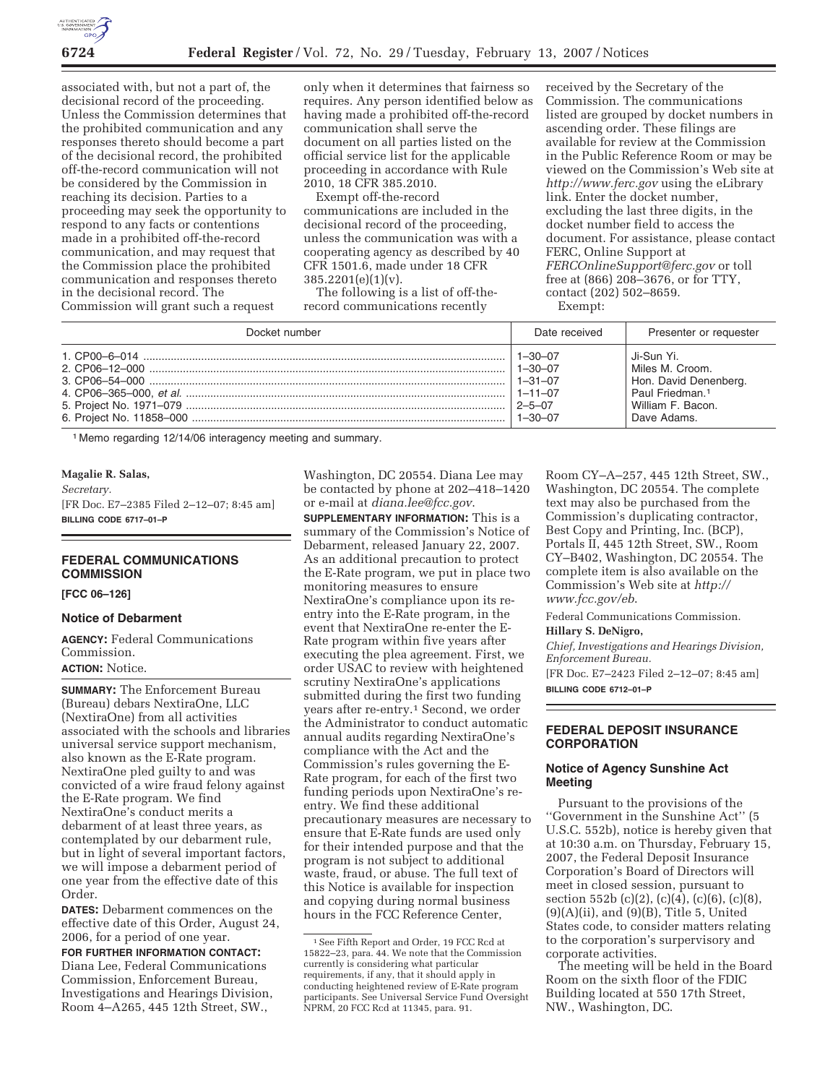

associated with, but not a part of, the decisional record of the proceeding. Unless the Commission determines that the prohibited communication and any responses thereto should become a part of the decisional record, the prohibited off-the-record communication will not be considered by the Commission in reaching its decision. Parties to a proceeding may seek the opportunity to respond to any facts or contentions made in a prohibited off-the-record communication, and may request that the Commission place the prohibited communication and responses thereto in the decisional record. The Commission will grant such a request

only when it determines that fairness so requires. Any person identified below as having made a prohibited off-the-record communication shall serve the document on all parties listed on the official service list for the applicable proceeding in accordance with Rule 2010, 18 CFR 385.2010.

Exempt off-the-record communications are included in the decisional record of the proceeding, unless the communication was with a cooperating agency as described by 40 CFR 1501.6, made under 18 CFR 385.2201(e)(1)(v).

The following is a list of off-therecord communications recently

received by the Secretary of the Commission. The communications listed are grouped by docket numbers in ascending order. These filings are available for review at the Commission in the Public Reference Room or may be viewed on the Commission's Web site at *http://www.ferc.gov* using the eLibrary link. Enter the docket number, excluding the last three digits, in the docket number field to access the document. For assistance, please contact FERC, Online Support at *FERCOnlineSupport@ferc.gov* or toll free at (866) 208–3676, or for TTY, contact (202) 502–8659. Exempt:

Docket number **Date received** Presenter or requester 1. CP00–6–014 ....................................................................................................................... 1–30–07 Ji-Sun Yi. 2. CP06–12–000 ..................................................................................................................... 1–30–07 Miles M. Croom. 3. CP06–54–000 ..................................................................................................................... 1–31–07 Hon. David Denenberg. 4. CP06–365–000, et al. ......................................................................................................... 1–11–07 Paul Friedman.1 5. Project No. 1971–079 ......................................................................................................... 2–5–07 William F. Bacon. 6. Project No. 11858–000 ....................................................................................................... 1–30–07 Dave Adams.

1 Memo regarding 12/14/06 interagency meeting and summary.

#### **Magalie R. Salas,**

*Secretary.* 

[FR Doc. E7–2385 Filed 2–12–07; 8:45 am] **BILLING CODE 6717–01–P** 

## **FEDERAL COMMUNICATIONS COMMISSION**

#### **[FCC 06–126]**

#### **Notice of Debarment**

**AGENCY:** Federal Communications Commission. **ACTION:** Notice.

**SUMMARY:** The Enforcement Bureau (Bureau) debars NextiraOne, LLC (NextiraOne) from all activities associated with the schools and libraries universal service support mechanism, also known as the E-Rate program. NextiraOne pled guilty to and was convicted of a wire fraud felony against the E-Rate program. We find NextiraOne's conduct merits a debarment of at least three years, as contemplated by our debarment rule, but in light of several important factors, we will impose a debarment period of one year from the effective date of this Order.

**DATES:** Debarment commences on the effective date of this Order, August 24, 2006, for a period of one year.

**FOR FURTHER INFORMATION CONTACT:**  Diana Lee, Federal Communications Commission, Enforcement Bureau, Investigations and Hearings Division, Room 4–A265, 445 12th Street, SW.,

Washington, DC 20554. Diana Lee may be contacted by phone at 202–418–1420 or e-mail at *diana.lee@fcc.gov*.

**SUPPLEMENTARY INFORMATION:** This is a summary of the Commission's Notice of Debarment, released January 22, 2007. As an additional precaution to protect the E-Rate program, we put in place two monitoring measures to ensure NextiraOne's compliance upon its reentry into the E-Rate program, in the event that NextiraOne re-enter the E-Rate program within five years after executing the plea agreement. First, we order USAC to review with heightened scrutiny NextiraOne's applications submitted during the first two funding years after re-entry.<sup>1</sup> Second, we order the Administrator to conduct automatic annual audits regarding NextiraOne's compliance with the Act and the Commission's rules governing the E-Rate program, for each of the first two funding periods upon NextiraOne's reentry. We find these additional precautionary measures are necessary to ensure that E-Rate funds are used only for their intended purpose and that the program is not subject to additional waste, fraud, or abuse. The full text of this Notice is available for inspection and copying during normal business hours in the FCC Reference Center,

Room CY–A–257, 445 12th Street, SW., Washington, DC 20554. The complete text may also be purchased from the Commission's duplicating contractor, Best Copy and Printing, Inc. (BCP), Portals II, 445 12th Street, SW., Room CY–B402, Washington, DC 20554. The complete item is also available on the Commission's Web site at *http:// www.fcc.gov/eb*.

Federal Communications Commission.

#### **Hillary S. DeNigro,**

*Chief, Investigations and Hearings Division, Enforcement Bureau.* 

[FR Doc. E7–2423 Filed 2–12–07; 8:45 am] **BILLING CODE 6712–01–P** 

### **FEDERAL DEPOSIT INSURANCE CORPORATION**

#### **Notice of Agency Sunshine Act Meeting**

Pursuant to the provisions of the ''Government in the Sunshine Act'' (5 U.S.C. 552b), notice is hereby given that at 10:30 a.m. on Thursday, February 15, 2007, the Federal Deposit Insurance Corporation's Board of Directors will meet in closed session, pursuant to section 552b (c)(2), (c)(4), (c)(6), (c)(8),  $(9)(A)(ii)$ , and  $(9)(B)$ , Title 5, United States code, to consider matters relating to the corporation's surpervisory and corporate activities.

The meeting will be held in the Board Room on the sixth floor of the FDIC Building located at 550 17th Street, NW., Washington, DC.

<sup>1</sup>See Fifth Report and Order, 19 FCC Rcd at 15822–23, para. 44. We note that the Commission currently is considering what particular requirements, if any, that it should apply in conducting heightened review of E-Rate program participants. See Universal Service Fund Oversight NPRM, 20 FCC Rcd at 11345, para. 91.